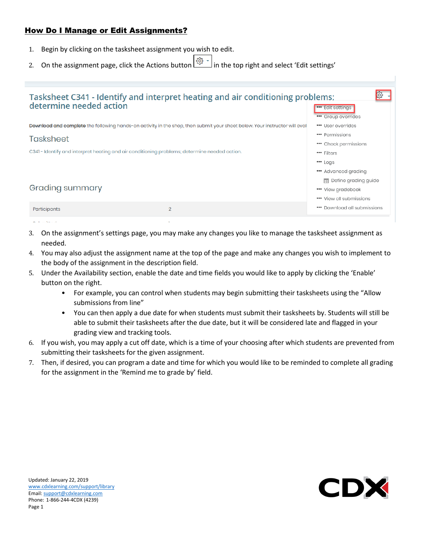## How Do I Manage or Edit Assignments?

- 1. Begin by clicking on the tasksheet assignment you wish to edit.
- 2. On the assignment page, click the Actions button  $\begin{bmatrix} \mathbb{S}^3 & \\ \mathbb{S}^1 & \mathbb{S}^1 \end{bmatrix}$  in the top right and select 'Edit settings'



- 3. On the assignment's settings page, you may make any changes you like to manage the tasksheet assignment as needed.
- 4. You may also adjust the assignment name at the top of the page and make any changes you wish to implement to the body of the assignment in the description field.
- 5. Under the Availability section, enable the date and time fields you would like to apply by clicking the 'Enable' button on the right.
	- For example, you can control when students may begin submitting their tasksheets using the "Allow submissions from line"
	- You can then apply a due date for when students must submit their tasksheets by. Students will still be able to submit their tasksheets after the due date, but it will be considered late and flagged in your grading view and tracking tools.
- 6. If you wish, you may apply a cut off date, which is a time of your choosing after which students are prevented from submitting their tasksheets for the given assignment.
- 7. Then, if desired, you can program a date and time for which you would like to be reminded to complete all grading for the assignment in the 'Remind me to grade by' field.

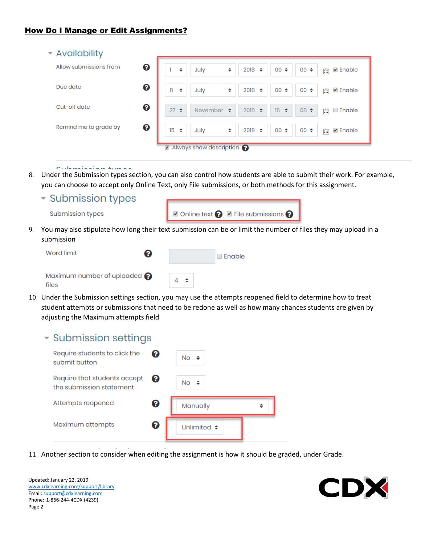| ▼ Availability         |   |                                                                                                   |
|------------------------|---|---------------------------------------------------------------------------------------------------|
| Allow submissions from | ❸ | $00 \div$<br>2018<br>$00 \div$<br>✔ Enable<br>July<br>÷<br>÷<br>$\div$<br>Ë                       |
| Due date               | ❸ | 8<br>$00 \div$<br>2018<br><b>■</b> Enable<br>$00 \div$<br>July<br>$\div$<br>$\div$<br>Ë<br>$\div$ |
| Cut-off date           | ❸ | 16<br>27<br>$2018 \div$<br>$08 \div$<br>$\div$<br>$\div$<br><b>Enable</b><br>November $\div$<br>曲 |
| Remind me to grade by  | ❸ | 15<br>$00 \div$<br>2018<br>July<br>$00 \div$<br>$\div$<br>✔ Enable<br>$\div$<br>$\div$<br>曲       |
|                        |   | Always show description                                                                           |

 $= 0.$  Indianian himan

8. Under the Submission types section, you can also control how students are able to submit their work. For example, you can choose to accept only Online Text, only File submissions, or both methods for this assignment.

▼ Submission types

Submission types

| $\blacksquare$ Online text $\bigodot$ $\blacksquare$ File submissions $\bigodot$ |
|----------------------------------------------------------------------------------|
|----------------------------------------------------------------------------------|

9. You may also stipulate how long their text submission can be or limit the number of files they may upload in a submission

| Word limit                                     | 2 |          | l Enable |
|------------------------------------------------|---|----------|----------|
| Maximum number of uploaded $\bigcirc$<br>files |   | $4 \div$ |          |

10. Under the Submission settings section, you may use the attempts reopened field to determine how to treat student attempts or submissions that need to be redone as well as how many chances students are given by adjusting the Maximum attempts field

| $\overline{\phantom{a}}$ Submission settings |  |
|----------------------------------------------|--|
|                                              |  |

| Require students to click the<br>submit button           | 2 | $No \Leftrightarrow$ |  |
|----------------------------------------------------------|---|----------------------|--|
| Require that students accept<br>the submission statement | Ø | $No \triangleq$      |  |
| Attempts reopened                                        | ❸ | Manually             |  |
| Maximum attempts                                         | 0 | Unlimited $\div$     |  |

11. Another section to consider when editing the assignment is how it should be graded, under Grade.